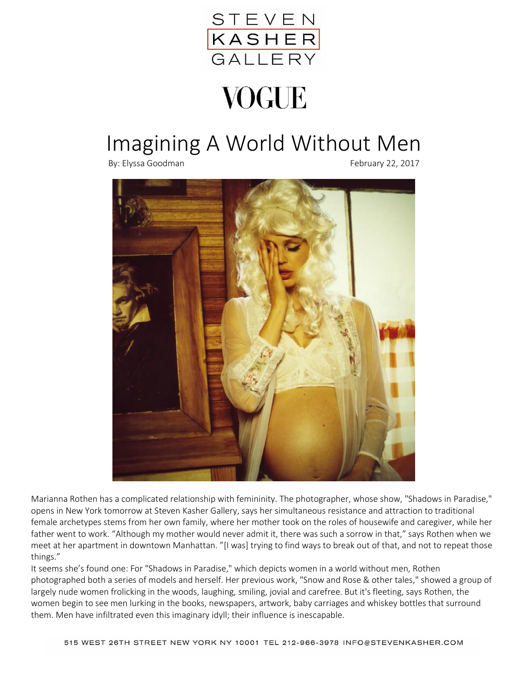

## **VOGUE**

## Imagining A World Without Men

By: Elyssa Goodman February 22, 2017



Marianna Rothen has a complicated relationship with femininity. The photographer, whose show, "Shadows in Paradise," opens in New York tomorrow at Steven Kasher Gallery, says her simultaneous resistance and attraction to traditional female archetypes stems from her own family, where her mother took on the roles of housewife and caregiver, while her father went to work. "Although my mother would never admit it, there was such a sorrow in that," says Rothen when we meet at her apartment in downtown Manhattan. "[I was] trying to find ways to break out of that, and not to repeat those things."

It seems she's found one: For "Shadows in Paradise," which depicts women in a world without men, Rothen photographed both a series of models and herself. Her previous work, "Snow and Rose & other tales," showed a group of largely nude women frolicking in the woods, laughing, smiling, jovial and carefree. But it's fleeting, says Rothen, the women begin to see men lurking in the books, newspapers, artwork, baby carriages and whiskey bottles that surround them. Men have infiltrated even this imaginary idyll; their influence is inescapable.